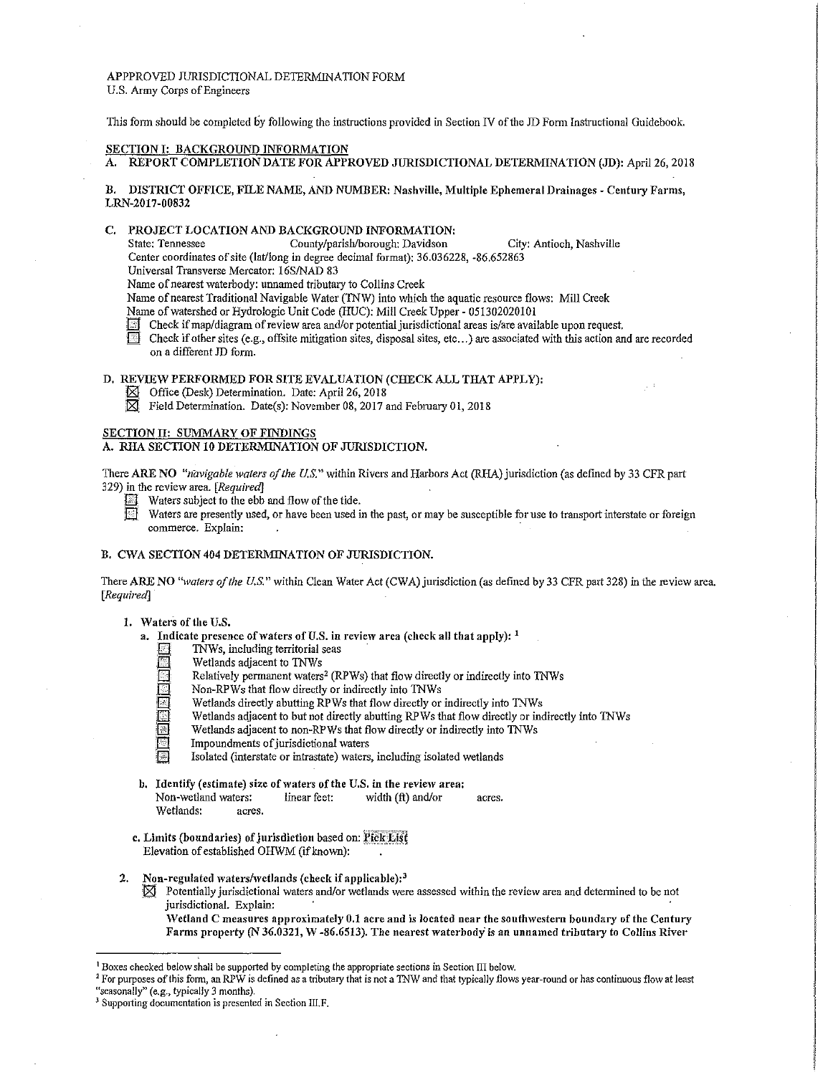# APPPROVED JURISDICTIONAL DETERMINATION FORM U.S. Army Corps of Engineers

This form should be completed by following the instructions provided in Section N of the JD Form Instructional Guidebook.

#### SECTION I: BACKGROUND INFORMATION

A. REPORT COMPLETION DATE FOR APPROVED JURISDICTIONAL DETERMINATION (JD): April 26, 2018

B. DISTRICT OFFICE, FILE NAME, AND NUMBER: Nashville, Multiple Ephemeral Drainages - Century Farms, LRN-2017-00832

# C. PROJECT LOCATION AND BACKGROUND INFORMATION:<br>State: Tennessee County/parish/borough: Davidson

County/parish/borough: Davidson City: Antioch, Nashville Center coordinates of site (lat/long in degree decimal format): 36.036228, -86.652863

Universal Transverse Mercator: 16S/NAD 83

Name of nearest waterbody: unnamed tributary to Collins Creek

Name of nearest Traditional Navigable Water (TNW) into which the aquatic resource flows: Mill Creek

- Name of watershed or Hydrologic Unit Code (HUC): Mill Creek Upper 051302020101
- Check if map/diagram of review area and/or potential jurisdictional areas is/are available upon request.<br>
Check if other sites (e.g., offsite mitigation sites dignoral sites ato they created at all the sites is
- Check if other sites (e.g., offsite mitigation sites, disposal sites, etc...) are associated with this action and are recorded on a different JD form.

# D. REVIEW PERFORMED FOR SITE EVALUATION (CHECK ALL THAT APPLY):

- $\boxtimes$  Office (Desk) Determination. Date: April 26, 2018<br> $\boxtimes$  Field Determination. Date(s): November 08, 2017
- Field Determination. Date(s): November 08, 2017 and February 01, 2018

# SECTION II: SUMMARY OF FINDINGS

# A. RHA SECTION 10 DETERMINATION OF JURISDICTION.

There ARE NO *"navigable waters of the U.S."* within Rivers and Harbors Act (RHA) jurisdiction (as defined by 33 CFR part 329) in the review area. *[Required}* 

- Waters subject to the ebb and flow of the tide.
- Waters are presently used, or have been used in the past, or may be susceptible for use to transport interstate or foreign commerce. Explain:

#### B. CWA SECTION 404 DETERMINATION OF JURISDICTION.

There ARE NO "waters of the U.S." within Clean Water Act (CWA) jurisdiction (as defined by 33 CFR part 328) in the review area. *[Required}* 

#### 1. Waters of the U.S.

- a. Indicate presence of waters of U.S. in review area (check all that apply):  $<sup>1</sup>$ </sup>
	- TNWs, including territorial seas
	- Wetlands adjacent to TNWs
	- Relatively permanent waters<sup>2</sup> (RPWs) that flow directly or indirectly into TNWs
	- Non-RPWs that flow directly or indirectly into TNWs
	- Wetlands directly abutting RPWs that flow directly or indirectly into TNWs
	- Wetlands adjacent to but not directly abutting RPWs that flow directly or indirectly into TNWs
	- Wetlands adjacent to non-RPWs that flow directly or indirectly into TNWs
	- Impoundments of jurisdictional waters
	- Isolated (interstate or intrastate) waters, including isolated wetlands
- b. Identify (estimate) size of waters of the U.S. in the review area: Non-wetland waters: linear feet: width (ft) and/or acres. Wetlands: acres.
- c. Limits (boundaries) of jurisdiction based on: Pick List Elevation of established OHWM (if known):
- 2. Non-regulated waters/wetlands (check if applicable):<sup>3</sup>
	- $\boxtimes$  Potentially jurisdictional waters and/or wetlands were assessed within the review area and determined to be not jurisdictional. Explain:

Wetland C measures approximately 0.1 acre and is located near the southwestern boundary of the Century Farms property (N 36.0321, W -86.6513). The nearest waterbody is an unnamed tributary to Collins River

<sup>&</sup>lt;sup>1</sup> Boxes checked below shall be supported by completing the appropriate sections in Section III below.<br><sup>2</sup> For purposes of this form, an RPW is defined as a tributary that is not a TNW and that typically flows year-round

<sup>&</sup>lt;sup>3</sup> Supporting documentation is presented in Section III.F.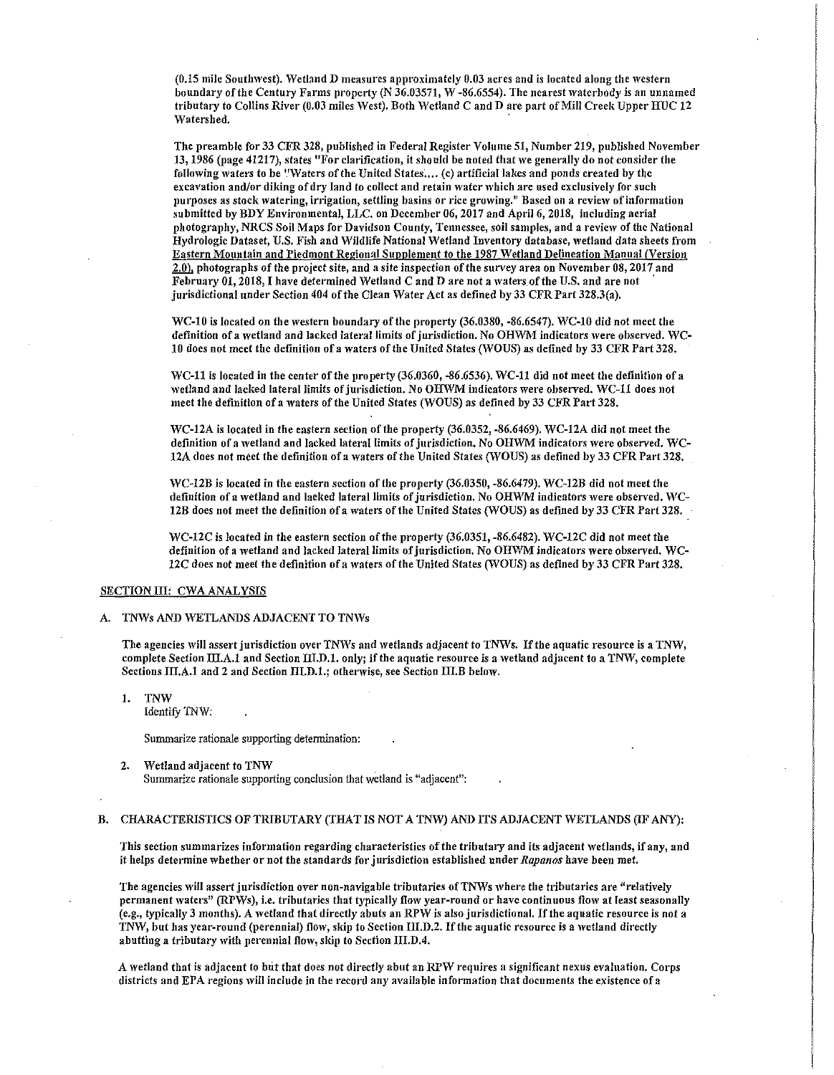(0.15 mile Southwest). Wetland D measures approximately 0.03 acres and is located along the western boundary of the Century Farms property (N 36.03571, W -86.6554). The nearest waterbody is an unnamed tributary to Collins River (0.03 miles West). Both Wetland C and D are part of Mill Creek Upper HUC 12 \Yatershed.

The preamble for 33 CFR 328, published in Federal Register Volume 51, Number 219, published November 13, 1986 (page 41217), states "For clarification, it should be noted that we generally do not consider the following waters to be "Waters of the United States.... (c) artificial lakes and ponds created by the excavation and/or diking of dry land to collect and retain water which are used exclusively for such purposes as stock watering, irrigation, settling basins or rice growing." Based on a review of information submitted by BDY Environmental, LLC. on December 06, 2017 and April 6, 2018, including aerial photography, NRCS Soil Maps for Davidson County, Tennessee, soil samples, and a review of the National Hydrologic Dataset, U.S. Fish and Wildlife National Wetland Inventory database, wetland data sheets from Eastern Mountain and Piedmont Regional Supplement to the 1987 Wetland Delineation Manual (Version 2,0). photographs of the project site, and a site inspection of the survey area on November 08, 2017 and February 01, 2018, I have determined Wetland C and D are not a waters of the U.S. and are not jurisdictional under Section 404 of the Clean Water Act as defined by 33 CFR Part 328.3(a).

WC-10 is located on the western boundary of the property (36.0380, -86.6547). WC-10 did not meet the definition of a wetland and lacked lateral limits of jurisdiction. No OHWM indicators were observed. WC-10 does not meet the definition of a waters of the United States (WOUS) as defined by 33 CFR Part 328.

WC-11 is located in the center of the property (36.0360, -86.6536). WC-11 did not meet the definition of a wetland and lacked lateral limits of jurisdiction. No OHWM indicators were observed. WC-11 does not meet the definition of a waters of the United States (WOUS) as defined by 33 CFR Part 328.

WC-12A is located in the eastern section of the property (36.0352, -86.6469). WC-12A did not meet the definition of a wetland and lacked lateral limits of jurisdiction. No OHWM indicators were observed. WC-12A does not meet the definition of a waters of the United States (WOUS) as defined by 33 CFR Part 328.

'YC-12B is located in the eastern section of the property (36.0350, -86.6479). WC-12B did not meet the definition of a wetland and lacked lateral limits of jurisdiction. No OHWM indicators were observed. WC-12B does not meet the definition of a waters of the United States (WOUS) as defined by 33 CFR Part 328,

WC-12C is located in the eastern section of the property (36.0351, -86.6482). WC-12C did not meet the definition of a wetland and lacked lateral limits of jurisdiction. No OHWM indicators were observed. WC-12C does not meet the definition of a waters of the United States (WOUS) as defined by 33 CFR Part 328.

# SECTION III: CWA ANALYSIS

# A. TNWs AND WETLANDS ADJACENT TO TNWs

The agencies will assert jurisdiction over TNWs and wetlands adjacent to TNWs. If the aquatic resource is a TNW, complete Section III.A.1 and Section III.D.1. only; if the aquatic resource is a wetland adjacent to a TNW, complete Sections III.A.1 and 2 and Section III.D.1.; otherwise, see Section III.B below.

1. TNW

Identify 1NW:

Summarize rationale supporting detennination:

2. Wetland adjacent to TNW Summarize rationale supporting conclusion that wetland is "adjacent":

#### B. CHARACTERISTICS OF TRIBUTARY (THAT IS NOT A TNW) AND ITS ADJACENT WETLANDS (IF ANY):

This section summarizes information regarding characteristics of the tributary and its adjacent 'vetlands, if any, and it helps determine whether or not the standards for jurisdiction established under *Rapanos* have been met.

The agencies will assert jurisdiction over non-navigable tributaries of TNWs where the tributaries are "relatively permanent waters" (RPWs), i.e. tributaries that typically flow year-round or have continuous flow at least seasonally (e.g., typically 3 months). A wetland that directly abuts an RPW is also jurisdictional. If the aquatic resource is not a TNW, but has year-round (perennial) flow, skip to Section III.D.2. If the aquatic resource is a wetland directly abutting a tributary with perennial flow, skip to Section III.D.4.

A wetland that is adjacent to but that does not directly abut an RPW requires a significant nexus evaluation. Corps districts and EPA regions will include in the record any available information that documents the existence of a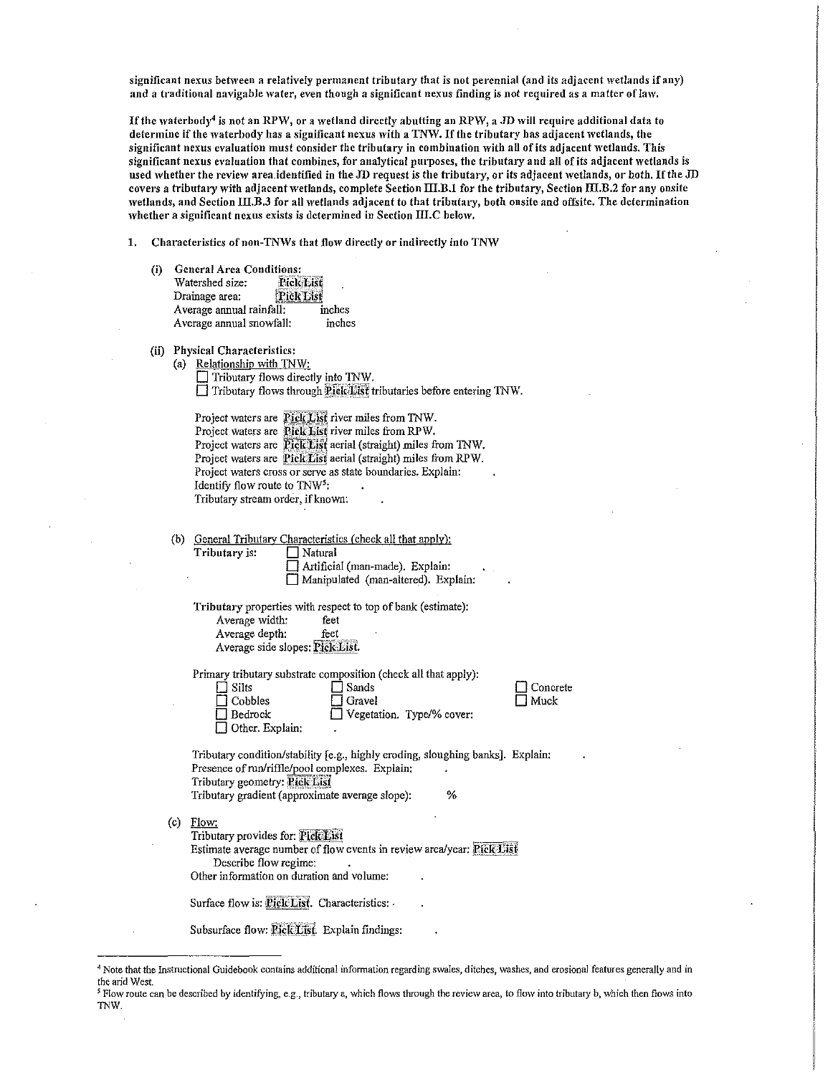significant nexus between a relatively permanent tributary that is not perennial (and its adjacent wetlands if any) and a traditional navigable water, even though a significant nexus finding is not required as a matter of law.

If the waterbody<sup>4</sup> is not an RPW, or a wetland directly abutting an RPW, a JD will require additional data to determine if the waterbody has a significant nexus with a TNW. If the tributary has adjacent wetlands, the significant nexus evaluation must consider the tributary in combination with all of its adjacent wetlands. This significant nexus evaluation that combines, for analytical purposes, the tributary and all of its adjacent wetlands is used whether the review area.identified in the JD request is the tributary, or its adjacent wetlands, or both. If the JD covers a tributary with adjacent wetlands, complete Section III.B.1 for the tributary, Section III.B.2 for any onsite wetlands, and Section III.B.3 for all wetlands adjacent to that tributary, both onsite and offsite. The determination whether a significant nexus exists is determined in Section III.C below.

1. Characteristics of non-TNWs that flow directly or indirectly into TNW

(i) General Area Conditions: Watershed size: **Pick List** Drainage area: **Pick List** Average annual rainfall: inches Average annual snowfall: inches

#### (ii) Physical Characteristics:

Tributary is:

| (a) Relationship with TNW:                                         |
|--------------------------------------------------------------------|
| $\Box$ Tributary flows directly into TNW.                          |
| Tributary flows through Piel List tributaries before entering TNW. |

| Project waters are Pick List river miles from TNW.             |  |  |  |  |  |
|----------------------------------------------------------------|--|--|--|--|--|
| Project waters are Pick List river miles from RPW.             |  |  |  |  |  |
| Project waters are Pick List aerial (straight) miles from TNW. |  |  |  |  |  |
| Project waters are Pick List aerial (straight) miles from RPW. |  |  |  |  |  |
| Project waters cross or serve as state boundaries. Explain:    |  |  |  |  |  |
| Identify flow route to $TNW5$ :                                |  |  |  |  |  |
| Tributary stream order, if known:                              |  |  |  |  |  |

(b) General Tributary Characteristics (check all that apply):

| ∣ ∣Naturai                             |  |
|----------------------------------------|--|
| $\Box$ Artificial (man-made). Explain: |  |

D Manipulated (man-altere\_d). Explain: Tributary properties with respect to top of bank (estimate):

Average width: feet

Average depth: feet Average side slopes: Pick List.

Primary tributary substrate composition (check all that apply):

| $\Box$ Silts      | $\Box$ Sands              |
|-------------------|---------------------------|
| $\Box$ Cobbles    | $\Box$ Gravel             |
| $\square$ Bedrock | Vegetation. Type/% cover: |

 $\Box$  Other. Explain:

D Concrete  $\Box$  Muck

Tributary condition/stability [e.g., highly eroding, sloughing banks]. Explain: Presence of run/riffle/pool complexes. Explain: Tributary geometry: Pick List Tributary gradient (approximate average slope): %

 $(c)$  Flow:

Tributary provides for: Pick List Estimate average number of flow events in review area/year: Pick List Describe flow regime: Other information on duration and volume:

Surface flow is: Pick List. Characteristics: .

Subsurface flow: Pick List. Explain findings:

<sup>4</sup> Note that the Instructional Guidebook contains additional information regarding swales, ditches, washes, and erosional features generally and in the arid West.<br><sup>5</sup> Flow route can be described by identifying, e.g., tributary a, which flows through the review area, to flow into tributary b, which then flows into

TNW.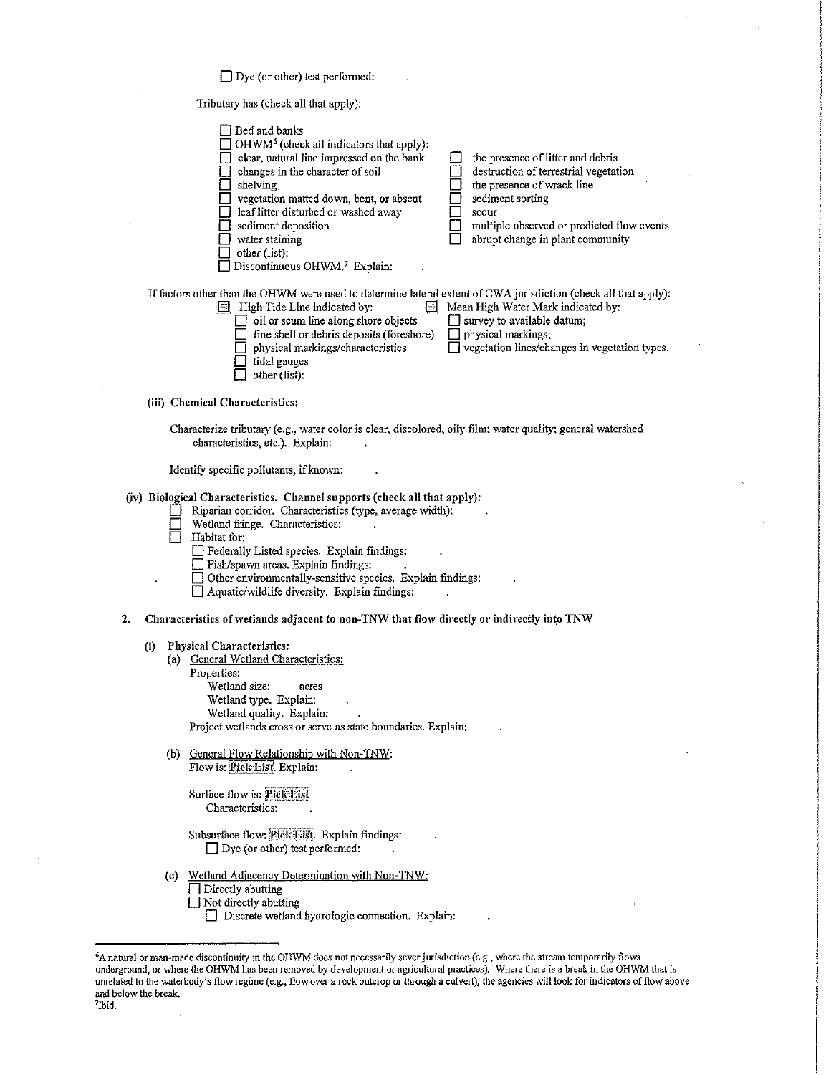Dye (or other) test performed:

Tributary has (check all that apply):

|    |                                                                                                                                                 | $\Box$ Bed and banks<br>$\Box$ OHWM <sup>6</sup> (check all indicators that apply):<br>clear, natural line impressed on the bank<br>changes in the character of soil<br>$\Box$ shelving.<br>vegetation matted down, bent, or absent<br>leaf litter disturbed or washed away<br>sediment deposition<br>water staining<br>other (list):<br>Discontinuous OHWM.7 Explain:                                 |  | the presence of litter and debris<br>destruction of terrestrial vegetation<br>the presence of wrack line<br>sediment sorting<br>scour<br>multiple observed or predicted flow events<br>abrupt change in plant community |  |  |
|----|-------------------------------------------------------------------------------------------------------------------------------------------------|--------------------------------------------------------------------------------------------------------------------------------------------------------------------------------------------------------------------------------------------------------------------------------------------------------------------------------------------------------------------------------------------------------|--|-------------------------------------------------------------------------------------------------------------------------------------------------------------------------------------------------------------------------|--|--|
|    |                                                                                                                                                 | If factors other than the OHWM were used to determine lateral extent of CWA jurisdiction (check all that apply):<br>High Tide Line indicated by:<br>$\Box$ oil or scum line along shore objects<br>fine shell or debris deposits (foreshore)<br>$\Box$ physical markings/characteristics<br>tidal gauges<br>other (list):                                                                              |  | Mean High Water Mark indicated by:<br>$\Box$ survey to available datum;<br>$\Box$ physical markings;<br>□ vegetation lines/changes in vegetation types.                                                                 |  |  |
|    |                                                                                                                                                 | (iii) Chemical Characteristics:                                                                                                                                                                                                                                                                                                                                                                        |  |                                                                                                                                                                                                                         |  |  |
|    |                                                                                                                                                 |                                                                                                                                                                                                                                                                                                                                                                                                        |  |                                                                                                                                                                                                                         |  |  |
|    | Characterize tributary (e.g., water color is clear, discolored, oily film; water quality; general watershed<br>characteristics, etc.). Explain: |                                                                                                                                                                                                                                                                                                                                                                                                        |  |                                                                                                                                                                                                                         |  |  |
|    |                                                                                                                                                 | Identify specific pollutants, if known:                                                                                                                                                                                                                                                                                                                                                                |  |                                                                                                                                                                                                                         |  |  |
|    |                                                                                                                                                 | (iv) Biological Characteristics. Channel supports (check all that apply):<br>Riparian corridor. Characteristics (type, average width):<br>Wetland fringe. Characteristics:<br>Habitat for:<br>Federally Listed species. Explain findings:<br>Fish/spawn areas. Explain findings:<br>Other environmentally-sensitive species. Explain findings:<br>$\Box$ Aquatic/wildlife diversity. Explain findings: |  |                                                                                                                                                                                                                         |  |  |
| 2. |                                                                                                                                                 | Characteristics of wetlands adjacent to non-TNW that flow directly or indirectly into TNW                                                                                                                                                                                                                                                                                                              |  |                                                                                                                                                                                                                         |  |  |
|    | (i)                                                                                                                                             | <b>Physical Characteristics:</b><br>(a) General Wetland Characteristics:<br>Properties:<br>Wetland size:<br>acres<br>Wetland type. Explain:<br>Wetland quality. Explain:<br>Project wetlands cross or serve as state boundaries. Explain:                                                                                                                                                              |  |                                                                                                                                                                                                                         |  |  |
|    |                                                                                                                                                 | (b) General Flow Relationship with Non-TNW:<br>Flow is: Pick List. Explain:                                                                                                                                                                                                                                                                                                                            |  |                                                                                                                                                                                                                         |  |  |

Surface flow is: Pick List Characteristics:

Subsurface flow: Pick Eist. Explain findings:  $\Box$  Dye (or other) test performed:

(c) Wetland Adjacency Determination with Non-TNW:<br>
Directly abutting  $\overline{\Box}$  Not directly abutting

Discrete wetland hydrologic connection. Explain:

<sup>6</sup> A natural or man~made discontinuity in the OHWM does not necessarily sever jurisdiction (e.g., where the stream temporarily flows underground, or where the OHWM has been removed by development or agricultural practices). Where there is a break in the OHWM that is unrelated to the waterbody's flow regime (e.g., flow over a rock outcrop or through a culvert), the agencies will look for indicators of flow above and below the break. Ibid.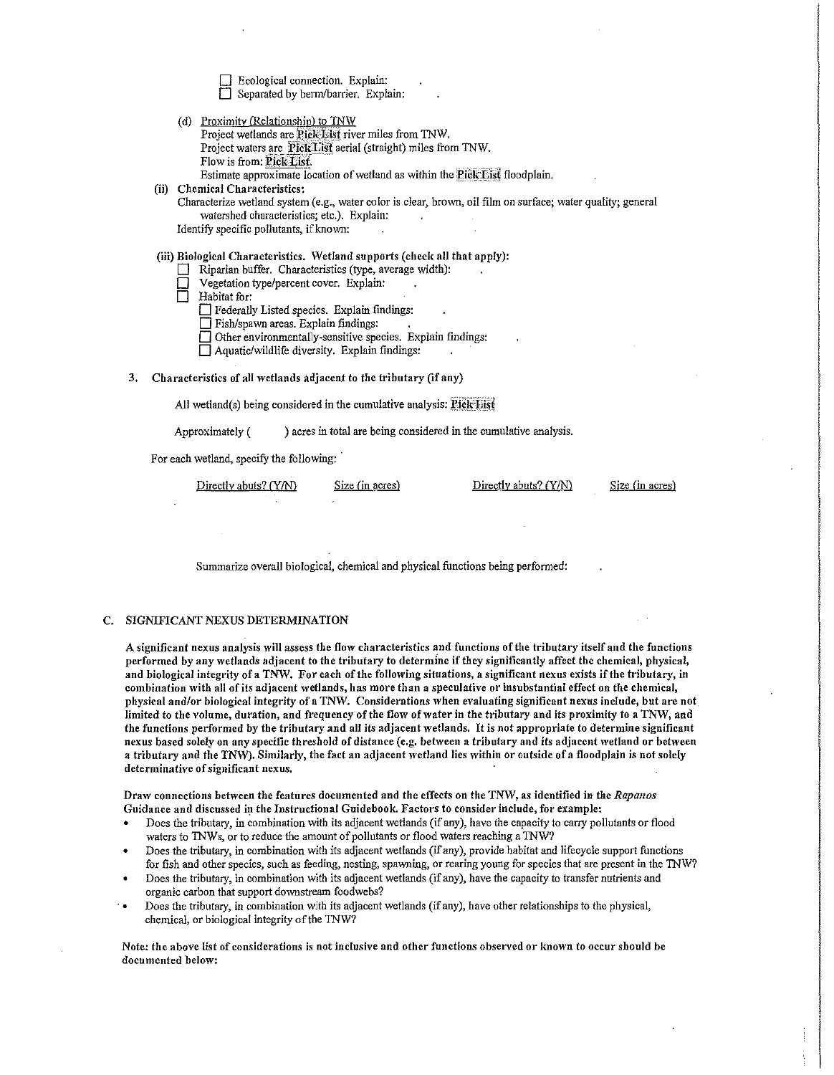$\Box$  Ecological connection. Explain: D Separated by berm/barrier. Explain:

(d) Proximity (Relationship) to TNW Project wetlands are Pick List river miles from TNW. Project waters are Pick List aerial (straight) miles from TNW. Flow is from: Pick List. Estimate approximate location of wetland as within the Pick List floodplain. (ii) Chemical Characteristics:

Characterize wetland system (e.g., water color is clear, brown, oil film on surface; water quality; general watershed characteristics; etc.). Explain: Identify specific pollutants, if known:

# (iii) Biological Characteristics. Wetland supports (check all that apply):

- $\Box$  Riparian buffer. Characteristics (type, average width):
- Vegetation type/percent cover. Explain:
- D Habitat for:

D Federally Listed species. Explain findings:

- D Fish/spawn areas. Explain findings:
- □ Other environmentally-sensitive species. Explain findings:

 $\Box$  Aquatic/wildlife diversity. Explain findings:

3. Characteristics of all wetlands adjacent to the tributary (if any)

All wetland(s) being considered in the cumulative analysis:  $PickList$ 

Approximately ( ) acres in total are being considered in the cumulative analysis.

For each wetland, specify the following:

Directly abuts? (Y/N) Size (in acres) Directly abuts? (Y/N)

Size (in acres)

Summarize overall biological, chemical and physical functions being performed:

# C. SIGNIFICANT NEXUS DETERMINATION

A significant nexus analysis will assess the flow characteristics and functions of the tributary itself and the functions performed by any wetlands adjacent to the tributary to determine if they significantly affect the chemical, physical, and biological integrity of a TNW. For each of the following situations, a significant nexus exists if the tributary, in combination with all of its adjacent wetlands, has more than a speculative or insubstantial effect on the chemical, physical and/or biological integrity of a TNW. Considerations when evaluating significant nexus include, but are not limited to the volume, duration, and frequency of the flow of water in the tributary and its proximity to a TNW, and the functions performed by the tributary and all its adjacent wetlands. It is not appropriate to determine significant nexus based solely on any specific threshold of distance (e.g. between a tributary and its adjacent wetland or between a tributary and the TNW). Similarly, the fact an adjacent wetland lies within or outside of a floodplain is not solely determinative of significant nexus.

Dra\V connections betiveen the features documented and the effects on the TNW, as identified in the *Rapanos*  Guidance and discussed in the Instructional Guidebook. Factors to consider include, for example:

- Does the tributary, in combination with its adjacent wetlands (if any), have the capacity to carry pollutants or flood waters to TNWs, or to reduce the amount of pollutants or flood waters reaching a TNW?
- Does the tributary, in combination with its adjacent wetlands (if any), provide habitat and lifecycle support functions for fish and other species, such as feeding, nesting, spawning, or rearing young for species that are present in the TNW?
- Does the tributary, in combination with its adjacent wetlands (if any), have the capacity to transfer nutrients and organic carbon that support downstream foodwebs?
- · Does the tributary, in combination with its adjacent wetlands (if any), have other relationships to the physical, chemical, or biological integrity of the TNW?

Note: the above list of considerations is not inclusive and other functions observed or known to occur should be documented below: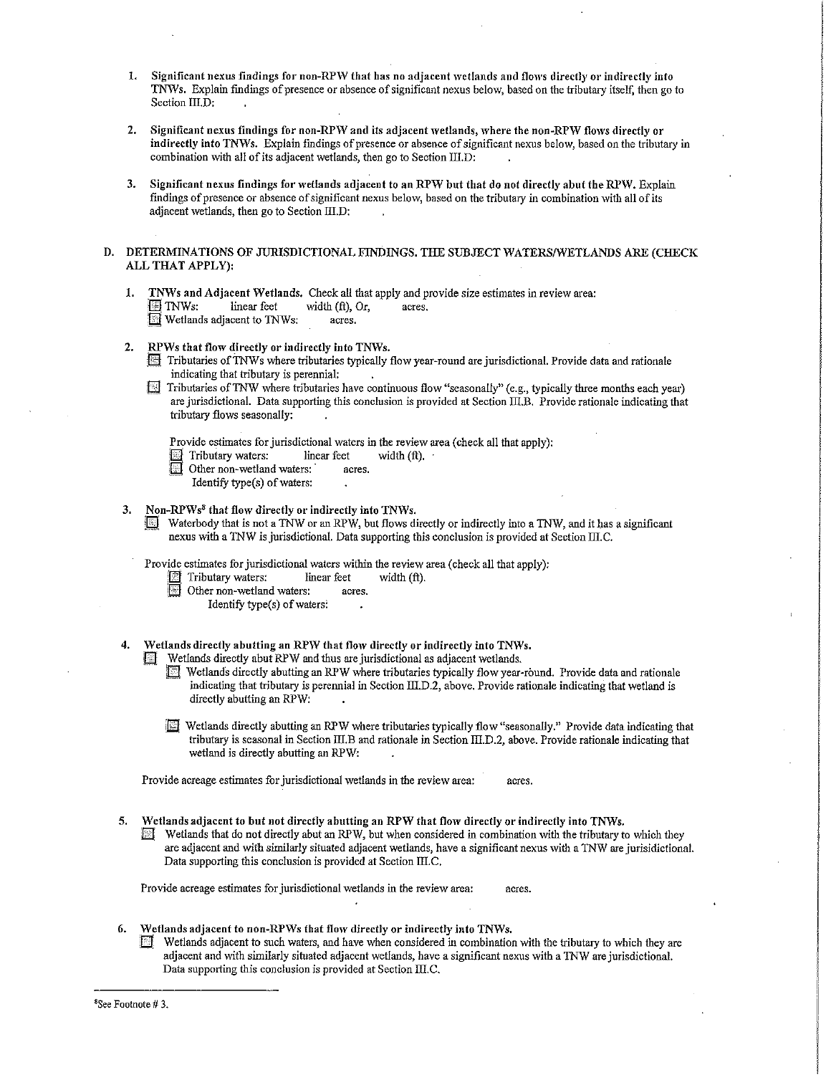- 1. Significant nexus findings for non-RPW that has no adjacent wetlands and flows directly or indirectly into TN\Vs. Explain findings of presence or absence of significant nexus below, based on the tributary itself, then go to Section III.D:
- 2. Significant nexus findings for non-RPW and its adjacent wetlands, where the non-RPW flows directly or indirectly into TNWs. Explain findings of presence or absence of significant nexus below, based on the tributary in combination with all of its adjacent wetlands, then go to Section III.D:
- 3. Significant nexus findings for wetlands adjacent to an RPW but that do not directly abut the RPW. Explain findings of presence or absence of significant nexus below, based on the tributary in combination with all of its adjacent wetlands, then go to Section III.D:
- D. DETERMINATIONS OF JURISDICTIONAL FINDINGS. THE SUBJECT WATERS/WETLANDS ARE (CHECK ALL THAT APPLY):
	- 1. TNWs and Adjacent Wetlands. Check all that apply and provide size estimates in review area:<br> $\Box$  TNWs: linear feet width (ft), Or, acres. **The TNWs:** linear feet width (ft), Or, acres.<br>In Wetlands adjacent to TNWs: acres.
	- 2. RPWs that flow directly or indirectly into TNWs.
		- i@ Tributaries of1Nws where tributaries typically flow year-round are jurisdictional. Provide data and rationale indicating that tributary is perennial:
		- Tributaries of TNW where tributaries have continuous flow "seasonally" (e.g., typically three months each year) are jurisdictional. Data supporting this conclusion is provided at Section III.B. Provide rationale indicating that tributary flows seasonally:

Provide estimates for jurisdictional waters in the review area (check all that apply):<br>
Tributary waters: linear feet width  $(ft)$ .

- $\mathbf{E}$  Tributary waters:
	- Other non-wetland waters: acres.
		- Identify type(s) of waters:
- 3. Non-RPWs<sup>8</sup> that flow directly or indirectly into TNWs.
	- Waterbody that is not a TNW or an RPW, but flows directly or indirectly into a TNW, and it has a significant nexus with a TNW is jurisdictional. Data supporting this conclusion is provided at Section III.C.

Provide estimates for jurisdictional waters within the review area (check all that apply):

- $\boxed{18}$  Tributary waters: linear feet width (ft).
- iEJ Other non-wetland waters: acres.
	- Identify type(s) of waters:
- 4. Wetlands directly abutting an RPW that flow directly or indirectly into TNWs.
	- Wetlands directly abut RPW and thus are jurisdictional as adjacent wetlands.<br> **Ei** Wetlands directly abutting an RPW where tributaries typically flow year-
		- Wetlands directly abutting an RPW where tributaries typically flow year-round. Provide data and rationale indicating that tributary is perennial in Section III, D.2, above. Provide rationale indicating that wetland is directly abutting an RPW:
		- fl§ Wetlands directly abutting an RPW where tributaries typically flow "seasonally . 11 Provide data indicating that tributary is seasonal in Section lII.B and rationale in Section ill.D.2, above. Provide rationale indicating that wetland is directly abutting an RPW:

Provide acreage estimates for jurisdictional wetlands in the review area: acres.

- 5, Wetlands adjacent to but not directly abutting an RPW that flow directly or indirectly into TNYVs.
	- ffi Wetlands that do not directly abut an RPW, but when considered in combination with the tributary to which they are adjacent and with similarly situated adjacent wetlands, have a significant nexus with a TNW are jurisidictional. Data supporting this conclusion is provided at Section III.C.

Provide acreage estimates for jurisdictional wetlands in the review area: acres.

- 6. Wetlands adjacent to non-RPWs that flow directly or indirectly into TNWs.
	- Wetlands adjacent to such waters, and have when considered in combination with the tributary to which they are adjacent and with similarly situated adjacent wetlands, have a significant nexus with a TNW are jurisdictional. Data supporting this conclusion is provided at Section III.C.

<sup>8</sup> See Footnote# 3.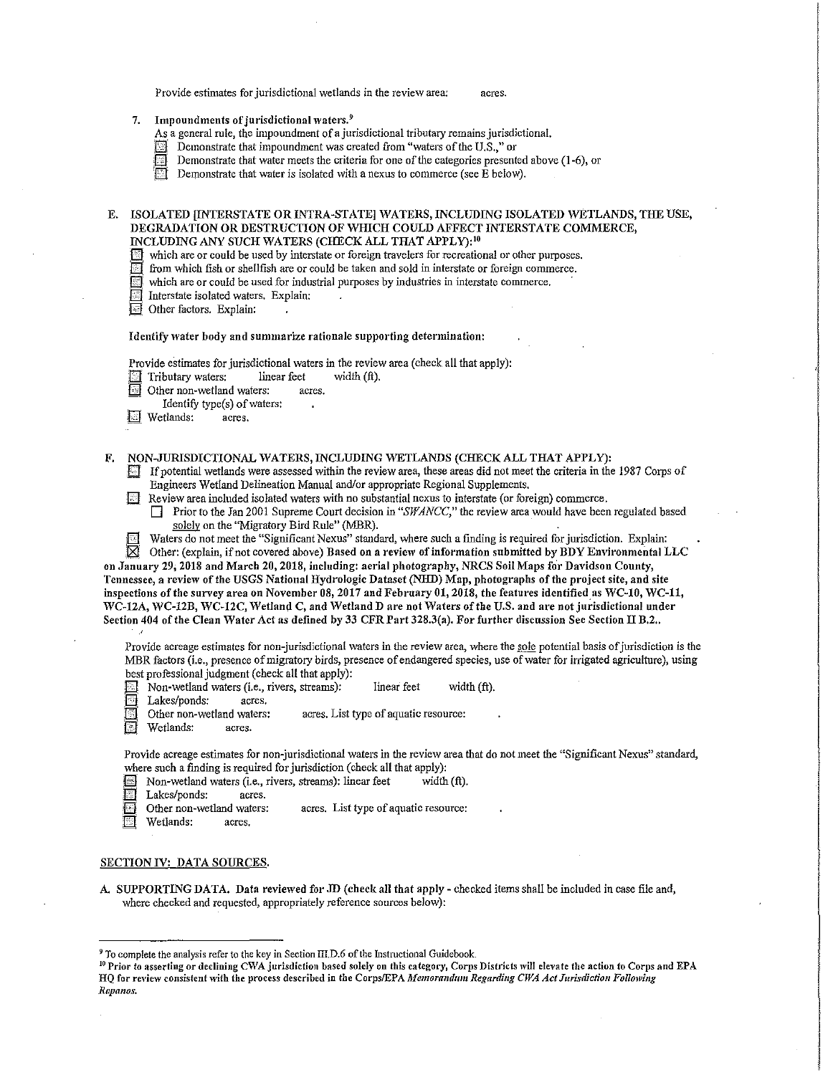Provide estimates for jurisdictional wetlands in the review area: acres.

- 7. Impoundments of jurisdictional waters.<sup>9</sup>
	- As a general rule, the impoundment of a jurisdictional tributary remains jurisdictional.
	- $\Box$  Demonstrate that impoundment was created from "waters of the U.S.," or
	- Demonstrate that water meets the criteria for one of the categories presented above (1-6), or
	- **I**Demonstrate that water is isolated with a nexus to commerce (see  $\overline{E}$  below).

#### E. ISOLATED [INTERSTATE OR INTRA-STATE] WATERS, INCLUDING ISOLATED WETLANDS, THE USE, DEGRADATION OR DESTRUCTION OF WHICH COULD AFFECT INTERSTATE COMMERCE, INCLUDING ANY SUCH WATERS (CHECK ALL THAT APPLY):<sup>10</sup>

- \_(fil which are or could be used by interstate or foreign travelers for recreational or other purposes.
- from which fish or shellfish are or could be taken and sold in interstate or foreign commerce.
- which are or could be used for industrial purposes by industries in interstate commerce.
- I Interstate isolated waters. Explain:

Ej Other factors. Explain:

# Identify water body and summarize rationale supporting determination:

Provide estimates for jurisdictional waters in the review area (check all that apply):<br>  $\boxed{\equiv}$  Tributary waters: linear feet width (ft).

- Other non-wetland waters: acres.
- Identify type(s) of waters:<br>etlands: acres.
- **I** Wetlands:

# F. NON-JURISDICTIONAL WATERS, INCLUDING WETLANDS (CHECK ALL THAT APPLY):

- If potential wetlands were assessed within the review area, these areas did not meet the criteria in the 1987 Corps of Engineers Wetiand Delineation Manual and/or appropriate Regional Supplements.
- Ell Review area included isolated waters with no substantial nexus to interstate (or foreign) commerce.
	- Prior to the Jan 2001 Supreme Court decision in "SWANCC," the review area would have been regulated based solely on the "Migratory Bird Rule" (MBR).
	-

Waters do not meet the "Significant Nexus" standard, where such a finding is required for jurisdiction. Explain:  $\boxtimes$  Other: (explain, if not covered above) Based on a review of information submitted by BDY Environmental Other: (explain, if not covered above) Based on a review of information submitted by BDY Environmental LLC

on January 29, 2018 and March 20, 2018, including: aerial photography, NRCS Soil Maps for Davidson County, Tennessee, a review of the USGS National Hydrologic Dataset (NHD) Map, photographs of the project site, and site inspections of the survey area on November 08, 2017 and February 01, 2018, the features identified as WC-10, WC-11, WC-12A, WC-12B, WC-12C, Wetland C, and Wetland D are not Waters of the U.S. and are not jurisdictional under Section 404 of the Clean Water Act as defined by 33 CFR Part 328.3(a). For further discussion See Section II B.2..

Provide acreage estimates for non-jurisdictional waters in the review area, where the sole potential basis of jurisdiction is the .MBR factors (i.e., presence of migratory birds, presence of endangered species, use of water for irrigated agriculture), using best professional judgment (check all that apply):

- 
- 
- El Non-wetland waters (i.e., rivers, streams): linear feet width (ft).<br>El Lakes/ponds: acres.<br>BJ Other non-wetland waters: acres. List type of aquatic resource: acres. List type of aquatic resource:
- Wetlands: acres.

Provide acreage estimates for non-jurisdictional waters in the review area that do not meet the "Significant Nexus" standard, where such a finding is required for jurisdiction (check alI that apply):

- {fil Non-wetland waters (i.e., rivers, streams): linear feet width (ft).
- Lakes/ponds: acres.
- Other non-wetland waters: acres. List type of aquatic resource:
- Wetlands: acres.

#### SECTION IV: DATA SOURCES.

A. SUPPORTING DATA. Data reviewed for JD (check all that apply - checked items shall be included in case file and, where checked and requested, appropriately reference sources below):

<sup>&</sup>lt;sup>9</sup> To complete the analysis refer to the key in Section III.D.6 of the Instructional Guidebook.<br><sup>10</sup> Prior to asserting or declining CWA jurisdiction based solely on this category, Corps Districts will elevate the action HQ for review consistent with the process described in the Corps/EPA Memorandum Regarding CWA Act Jurisdiction Following *Rnpmws.*